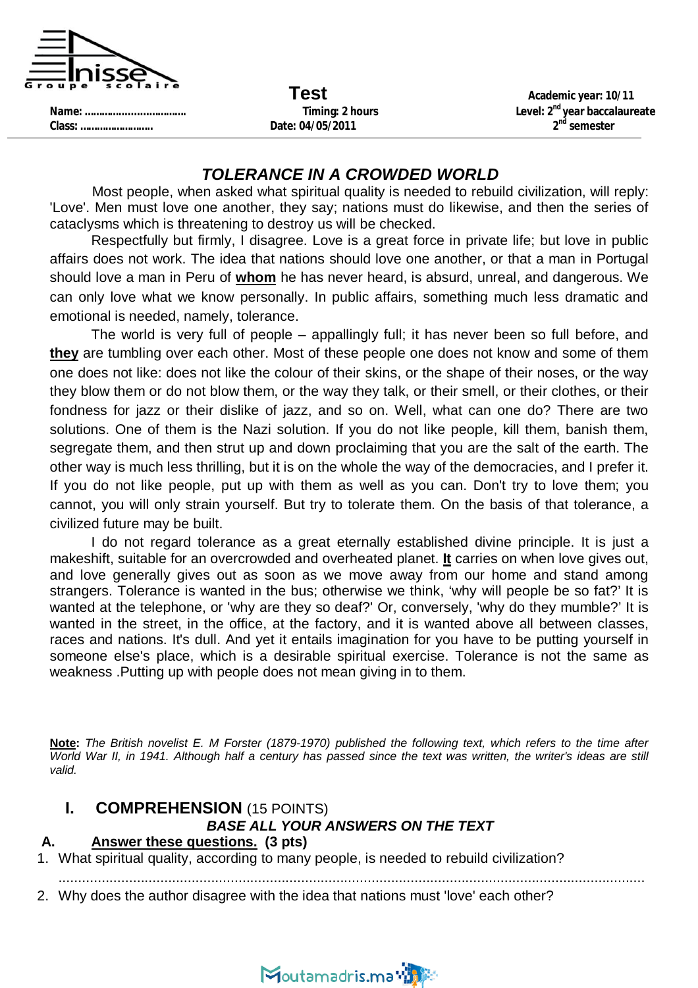

**Class: …………………….. Date: 04/05/2011 2**

**Test Academic year: 10/11 Name: …………..........…………. Timing: 2 hours Level: 2nd year baccalaureate nd semester**

#### *TOLERANCE IN A CROWDED WORLD*

Most people, when asked what spiritual quality is needed to rebuild civilization, will reply: 'Love'. Men must love one another, they say; nations must do likewise, and then the series of cataclysms which is threatening to destroy us will be checked.

Respectfully but firmly, I disagree. Love is a great force in private life; but love in public affairs does not work. The idea that nations should love one another, or that a man in Portugal should love a man in Peru of **whom** he has never heard, is absurd, unreal, and dangerous. We can only love what we know personally. In public affairs, something much less dramatic and emotional is needed, namely, tolerance.

The world is very full of people – appallingly full; it has never been so full before, and **they** are tumbling over each other. Most of these people one does not know and some of them one does not like: does not like the colour of their skins, or the shape of their noses, or the way they blow them or do not blow them, or the way they talk, or their smell, or their clothes, or their fondness for jazz or their dislike of jazz, and so on. Well, what can one do? There are two solutions. One of them is the Nazi solution. If you do not like people, kill them, banish them, segregate them, and then strut up and down proclaiming that you are the salt of the earth. The other way is much less thrilling, but it is on the whole the way of the democracies, and I prefer it. If you do not like people, put up with them as well as you can. Don't try to love them; you cannot, you will only strain yourself. But try to tolerate them. On the basis of that tolerance, a civilized future may be built.

I do not regard tolerance as a great eternally established divine principle. It is just a makeshift, suitable for an overcrowded and overheated planet. **It** carries on when love gives out, and love generally gives out as soon as we move away from our home and stand among strangers. Tolerance is wanted in the bus; otherwise we think, 'why will people be so fat?' It is wanted at the telephone, or 'why are they so deaf?' Or, conversely, 'why do they mumble?' It is wanted in the street, in the office, at the factory, and it is wanted above all between classes, races and nations. It's dull. And yet it entails imagination for you have to be putting yourself in someone else's place, which is a desirable spiritual exercise. Tolerance is not the same as weakness .Putting up with people does not mean giving in to them.

**Note:** *The British novelist E. M Forster (1879-1970) published the following text, which refers to the time after World War II, in 1941. Although half a century has passed since the text was written, the writer's ideas are still valid.*

## **I. COMPREHENSION** (15 POINTS)

## *BASE ALL YOUR ANSWERS ON THE TEXT*

#### **A. Answer these questions. (3 pts)**

- 1. What spiritual quality, according to many people, is needed to rebuild civilization?
	- ......................................................................................................................................................
- 2. Why does the author disagree with the idea that nations must 'love' each other?

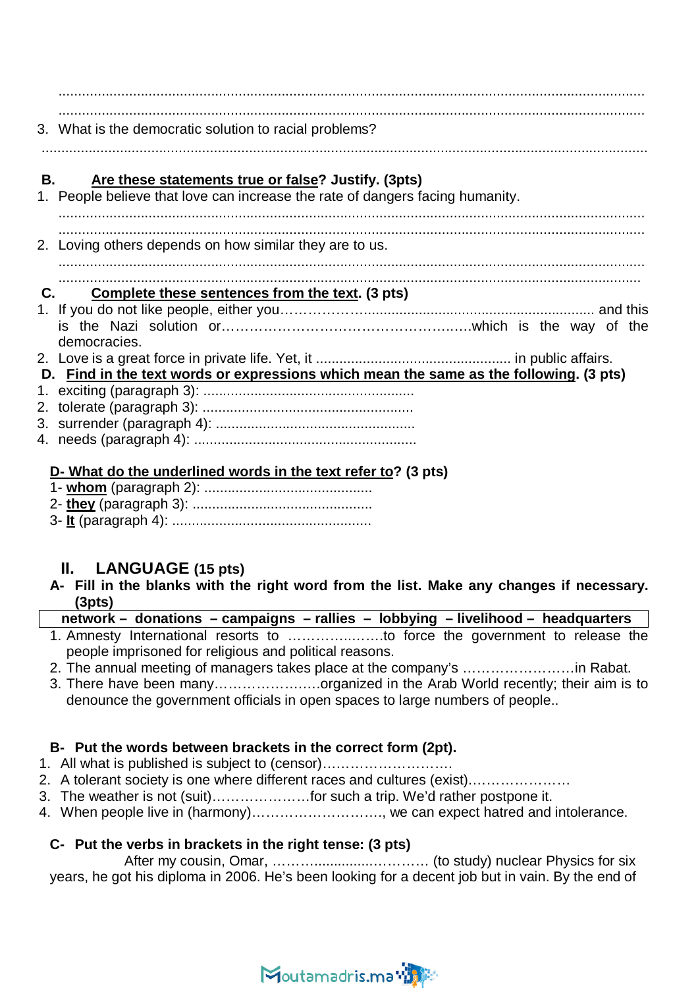...................................................................................................................................................... ......................................................................................................................................................

3. What is the democratic solution to racial problems?

...........................................................................................................................................................

## **B. Are these statements true or false? Justify. (3pts)**

- 1. People believe that love can increase the rate of dangers facing humanity. ......................................................................................................................................................
- ...................................................................................................................................................... 2. Loving others depends on how similar they are to us.

#### ...................................................................................................................................................... .....................................................................................................................................................

### **C. Complete these sentences from the text. (3 pts)**

- 1. If you do not like people, either you………………........................................................... and this is the Nazi solution or…………………………………………..….which is the way of the democracies.
- 2. Love is a great force in private life. Yet, it .................................................. in public affairs.
- **D. Find in the text words or expressions which mean the same as the following. (3 pts)**
- 1. exciting (paragraph 3): ......................................................
- 2. tolerate (paragraph 3): ......................................................
- 3. surrender (paragraph 4): ...................................................
- 4. needs (paragraph 4): .........................................................

#### **D- What do the underlined words in the text refer to? (3 pts)**

- 1- **whom** (paragraph 2): ...........................................
- 2- **they** (paragraph 3): ..............................................
- 3- **It** (paragraph 4): ...................................................

## **II. LANGUAGE (15 pts)**

**A- Fill in the blanks with the right word from the list. Make any changes if necessary. (3pts)**

#### **network – donations – campaigns – rallies – lobbying – livelihood – headquarters**

- 1. Amnesty International resorts to …………..…….to force the government to release the people imprisoned for religious and political reasons.
- 2. The annual meeting of managers takes place at the company's ……………………in Rabat.
- 3. There have been many……………….….organized in the Arab World recently; their aim is to denounce the government officials in open spaces to large numbers of people..

### **B- Put the words between brackets in the correct form (2pt).**

- 1. All what is published is subject to (censor)……………………….
- 2. A tolerant society is one where different races and cultures (exist).…………………
- 3. The weather is not (suit)…………………for such a trip. We'd rather postpone it.
- 4. When people live in (harmony)………………………., we can expect hatred and intolerance.

### **C- Put the verbs in brackets in the right tense: (3 pts)**

After my cousin, Omar, ………...............………… (to study) nuclear Physics for six years, he got his diploma in 2006. He's been looking for a decent job but in vain. By the end of

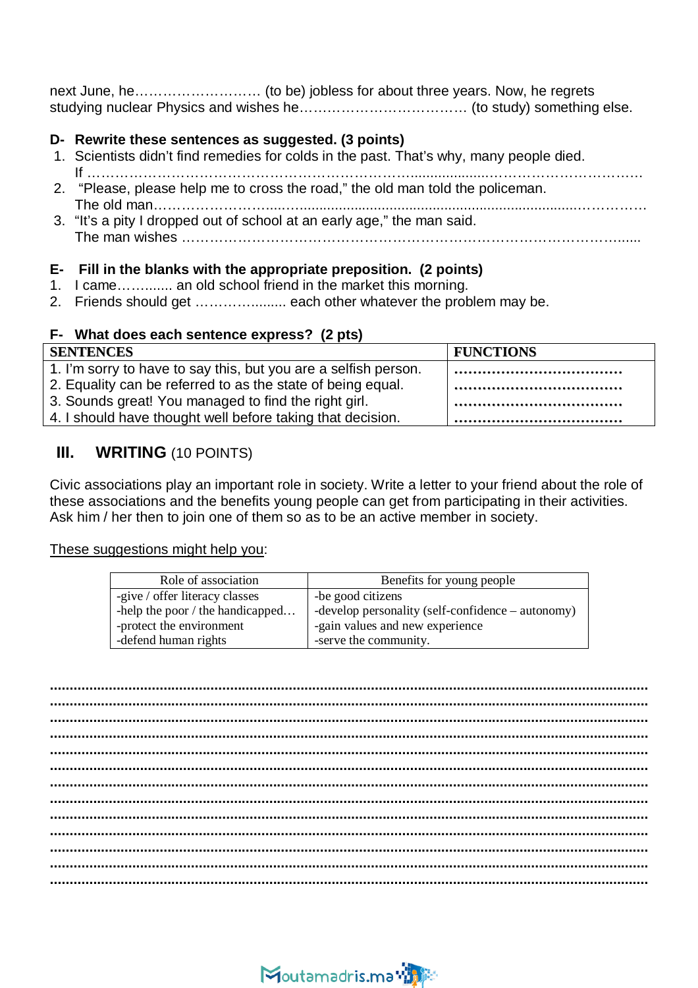next June, he……………………… (to be) jobless for about three years. Now, he regrets studying nuclear Physics and wishes he……………………………… (to study) something else.

#### **D- Rewrite these sentences as suggested. (3 points)**

- 1. Scientists didn't find remedies for colds in the past. That's why, many people died. If ……………………………………………………………....................……………………………
- 2. "Please, please help me to cross the road," the old man told the policeman. The old man…………………….....….......................................................................……………
- 3. "It's a pity I dropped out of school at an early age," the man said. The man wishes …………………………………………………………………………………......

#### **E- Fill in the blanks with the appropriate preposition. (2 points)**

- 1. I came……....... an old school friend in the market this morning.
- 2. Friends should get .......................... each other whatever the problem may be.

#### **F- What does each sentence express? (2 pts)**

| <b>SENTENCES</b>                                                | <b>FUNCTIONS</b> |
|-----------------------------------------------------------------|------------------|
| 1. I'm sorry to have to say this, but you are a selfish person. |                  |
| 2. Equality can be referred to as the state of being equal.     |                  |
| 3. Sounds great! You managed to find the right girl.            |                  |
| 4. I should have thought well before taking that decision.      |                  |

## **III. WRITING** (10 POINTS)

Civic associations play an important role in society. Write a letter to your friend about the role of these associations and the benefits young people can get from participating in their activities. Ask him / her then to join one of them so as to be an active member in society.

#### These suggestions might help you:

| Role of association                | Benefits for young people                         |
|------------------------------------|---------------------------------------------------|
| -give / offer literacy classes     | -be good citizens                                 |
| -help the poor $/$ the handicapped | -develop personality (self-confidence – autonomy) |
| -protect the environment           | -gain values and new experience                   |
| -defend human rights               | -serve the community.                             |

**......................................................................................................................................................... ......................................................................................................................................................... ......................................................................................................................................................... ......................................................................................................................................................... ......................................................................................................................................................... ......................................................................................................................................................... ......................................................................................................................................................... ......................................................................................................................................................... ......................................................................................................................................................... ......................................................................................................................................................... ......................................................................................................................................................... ......................................................................................................................................................... .........................................................................................................................................................**

## Moutamadris.ma